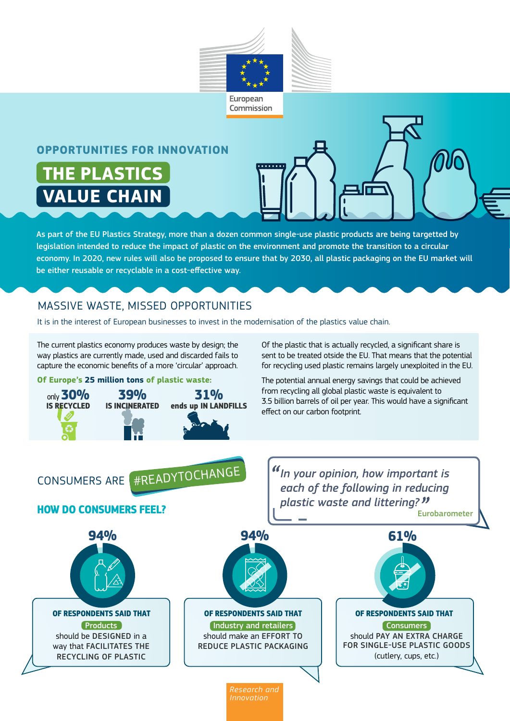

#### **OPPORTUNITIES FOR INNOVATION**

**THE PLASTICS VALUE CHAIN**

As part of the EU Plastics Strategy, more than a dozen common single-use plastic products are being targetted by legislation intended to reduce the impact of plastic on the environment and promote the transition to a circular economy. In 2020, new rules will also be proposed to ensure that by 2030, all plastic packaging on the EU market will be either reusable or recyclable in a cost-effective way.

### MASSIVE WASTE, MISSED OPPORTUNITIES

It is in the interest of European businesses to invest in the modernisation of the plastics value chain.

**31% ends up IN LANDFILLS**

The current plastics economy produces waste by design; the way plastics are currently made, used and discarded fails to capture the economic benefits of a more 'circular' approach.

**Of Europe's 25 million tons of plastic waste:**

**39% IS INCINERATED**

only **30% IS RECYCLED**

Of the plastic that is actually recycled, a significant share is sent to be treated otside the EU. That means that the potential for recycling used plastic remains largely unexploited in the EU.

The potential annual energy savings that could be achieved from recycling all global plastic waste is equivalent to 3.5 billion barrels of oil per year. This would have a significant effect on our carbon footprint.

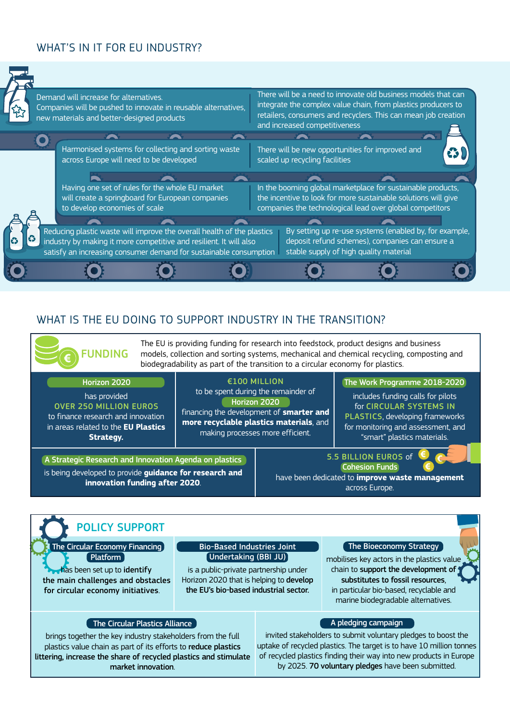## WHAT'S IN IT FOR EU INDUSTRY?





## WHAT IS THE EU DOING TO SUPPORT INDUSTRY IN THE TRANSITION?